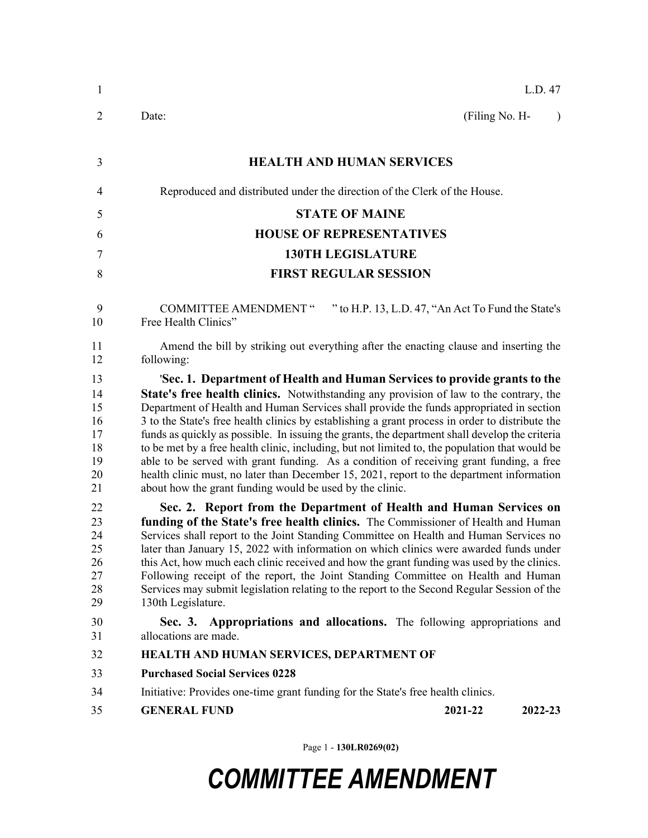| 1                                                  | L.D. 47                                                                                                                                                                                                                                                                                                                                                                                                                                                                                                                                                                                                                                                                                                                                                                                                                   |  |  |  |
|----------------------------------------------------|---------------------------------------------------------------------------------------------------------------------------------------------------------------------------------------------------------------------------------------------------------------------------------------------------------------------------------------------------------------------------------------------------------------------------------------------------------------------------------------------------------------------------------------------------------------------------------------------------------------------------------------------------------------------------------------------------------------------------------------------------------------------------------------------------------------------------|--|--|--|
| 2                                                  | Date:<br>(Filing No. H-<br>$\lambda$                                                                                                                                                                                                                                                                                                                                                                                                                                                                                                                                                                                                                                                                                                                                                                                      |  |  |  |
| 3                                                  | <b>HEALTH AND HUMAN SERVICES</b>                                                                                                                                                                                                                                                                                                                                                                                                                                                                                                                                                                                                                                                                                                                                                                                          |  |  |  |
| $\overline{4}$                                     | Reproduced and distributed under the direction of the Clerk of the House.                                                                                                                                                                                                                                                                                                                                                                                                                                                                                                                                                                                                                                                                                                                                                 |  |  |  |
| 5                                                  | <b>STATE OF MAINE</b>                                                                                                                                                                                                                                                                                                                                                                                                                                                                                                                                                                                                                                                                                                                                                                                                     |  |  |  |
| 6                                                  | <b>HOUSE OF REPRESENTATIVES</b>                                                                                                                                                                                                                                                                                                                                                                                                                                                                                                                                                                                                                                                                                                                                                                                           |  |  |  |
| $\tau$                                             | <b>130TH LEGISLATURE</b>                                                                                                                                                                                                                                                                                                                                                                                                                                                                                                                                                                                                                                                                                                                                                                                                  |  |  |  |
| 8                                                  | <b>FIRST REGULAR SESSION</b>                                                                                                                                                                                                                                                                                                                                                                                                                                                                                                                                                                                                                                                                                                                                                                                              |  |  |  |
| 9<br>10                                            | <b>COMMITTEE AMENDMENT "</b><br>" to H.P. 13, L.D. 47, "An Act To Fund the State's<br>Free Health Clinics"                                                                                                                                                                                                                                                                                                                                                                                                                                                                                                                                                                                                                                                                                                                |  |  |  |
| 11<br>12                                           | Amend the bill by striking out everything after the enacting clause and inserting the<br>following:                                                                                                                                                                                                                                                                                                                                                                                                                                                                                                                                                                                                                                                                                                                       |  |  |  |
| 13<br>14<br>15<br>16<br>17<br>18<br>19<br>20<br>21 | 'Sec. 1. Department of Health and Human Services to provide grants to the<br>State's free health clinics. Notwithstanding any provision of law to the contrary, the<br>Department of Health and Human Services shall provide the funds appropriated in section<br>3 to the State's free health clinics by establishing a grant process in order to distribute the<br>funds as quickly as possible. In issuing the grants, the department shall develop the criteria<br>to be met by a free health clinic, including, but not limited to, the population that would be<br>able to be served with grant funding. As a condition of receiving grant funding, a free<br>health clinic must, no later than December 15, 2021, report to the department information<br>about how the grant funding would be used by the clinic. |  |  |  |
| 22<br>23<br>24<br>25<br>26<br>27<br>28<br>29       | Sec. 2. Report from the Department of Health and Human Services on<br>funding of the State's free health clinics. The Commissioner of Health and Human<br>Services shall report to the Joint Standing Committee on Health and Human Services no<br>later than January 15, 2022 with information on which clinics were awarded funds under<br>this Act, how much each clinic received and how the grant funding was used by the clinics.<br>Following receipt of the report, the Joint Standing Committee on Health and Human<br>Services may submit legislation relating to the report to the Second Regular Session of the<br>130th Legislature.                                                                                                                                                                         |  |  |  |
| 30<br>31                                           | Sec. 3. Appropriations and allocations. The following appropriations and<br>allocations are made.                                                                                                                                                                                                                                                                                                                                                                                                                                                                                                                                                                                                                                                                                                                         |  |  |  |
| 32                                                 | HEALTH AND HUMAN SERVICES, DEPARTMENT OF                                                                                                                                                                                                                                                                                                                                                                                                                                                                                                                                                                                                                                                                                                                                                                                  |  |  |  |
| 33                                                 | <b>Purchased Social Services 0228</b>                                                                                                                                                                                                                                                                                                                                                                                                                                                                                                                                                                                                                                                                                                                                                                                     |  |  |  |
| 34                                                 | Initiative: Provides one-time grant funding for the State's free health clinics.                                                                                                                                                                                                                                                                                                                                                                                                                                                                                                                                                                                                                                                                                                                                          |  |  |  |
| 35                                                 | <b>GENERAL FUND</b><br>2021-22<br>2022-23                                                                                                                                                                                                                                                                                                                                                                                                                                                                                                                                                                                                                                                                                                                                                                                 |  |  |  |

Page 1 - **130LR0269(02)**

## *COMMITTEE AMENDMENT*